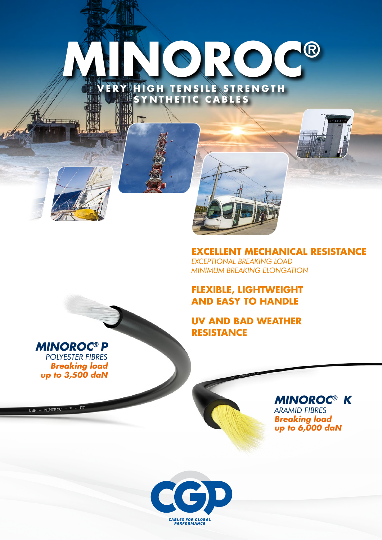# **MINOROC®** ERY HIGH TENSILE STRENGTH **SYNTHETIC CABLES**

小雨

**EXCELLENT MECHANICAL RESISTANCE** *EXCEPTIONAL BREAKING LOAD MINIMUM BREAKING ELONGATION*

## **FLEXIBLE, LIGHTWEIGHT AND EASY TO HANDLE**

**UV AND BAD WEATHER RESISTANCE**

 $CGP - M1NOROC - K - D9$ 

*MINOROC® P POLYESTER FIBRES Breaking load up to 3,500 daN*

 $CGP - MINOROC - P - D7$ 

*MINOROC® K ARAMID FIBRES Breaking load up to 6,000 daN*